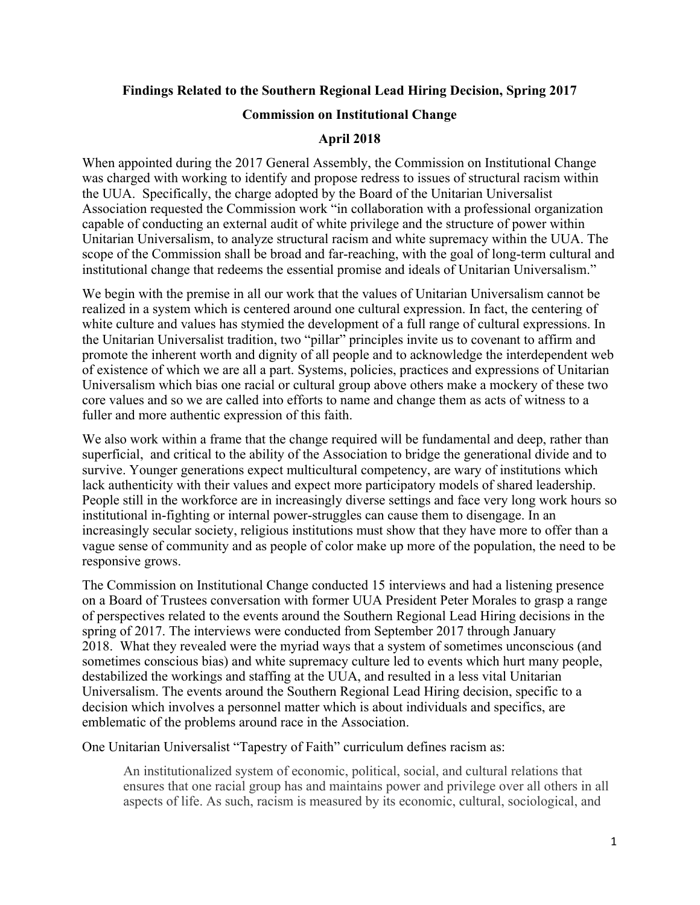#### **Findings Related to the Southern Regional Lead Hiring Decision, Spring 2017**

#### **Commission on Institutional Change**

#### **April 2018**

When appointed during the 2017 General Assembly, the Commission on Institutional Change was charged with working to identify and propose redress to issues of structural racism within the UUA. Specifically, the charge adopted by the Board of the Unitarian Universalist Association requested the Commission work "in collaboration with a professional organization capable of conducting an external audit of white privilege and the structure of power within Unitarian Universalism, to analyze structural racism and white supremacy within the UUA. The scope of the Commission shall be broad and far-reaching, with the goal of long-term cultural and institutional change that redeems the essential promise and ideals of Unitarian Universalism."

We begin with the premise in all our work that the values of Unitarian Universalism cannot be realized in a system which is centered around one cultural expression. In fact, the centering of white culture and values has stymied the development of a full range of cultural expressions. In the Unitarian Universalist tradition, two "pillar" principles invite us to covenant to affirm and promote the inherent worth and dignity of all people and to acknowledge the interdependent web of existence of which we are all a part. Systems, policies, practices and expressions of Unitarian Universalism which bias one racial or cultural group above others make a mockery of these two core values and so we are called into efforts to name and change them as acts of witness to a fuller and more authentic expression of this faith.

We also work within a frame that the change required will be fundamental and deep, rather than superficial, and critical to the ability of the Association to bridge the generational divide and to survive. Younger generations expect multicultural competency, are wary of institutions which lack authenticity with their values and expect more participatory models of shared leadership. People still in the workforce are in increasingly diverse settings and face very long work hours so institutional in-fighting or internal power-struggles can cause them to disengage. In an increasingly secular society, religious institutions must show that they have more to offer than a vague sense of community and as people of color make up more of the population, the need to be responsive grows.

The Commission on Institutional Change conducted 15 interviews and had a listening presence on a Board of Trustees conversation with former UUA President Peter Morales to grasp a range of perspectives related to the events around the Southern Regional Lead Hiring decisions in the spring of 2017. The interviews were conducted from September 2017 through January 2018. What they revealed were the myriad ways that a system of sometimes unconscious (and sometimes conscious bias) and white supremacy culture led to events which hurt many people, destabilized the workings and staffing at the UUA, and resulted in a less vital Unitarian Universalism. The events around the Southern Regional Lead Hiring decision, specific to a decision which involves a personnel matter which is about individuals and specifics, are emblematic of the problems around race in the Association.

One Unitarian Universalist "Tapestry of Faith" curriculum defines racism as:

An institutionalized system of economic, political, social, and cultural relations that ensures that one racial group has and maintains power and privilege over all others in all aspects of life. As such, racism is measured by its economic, cultural, sociological, and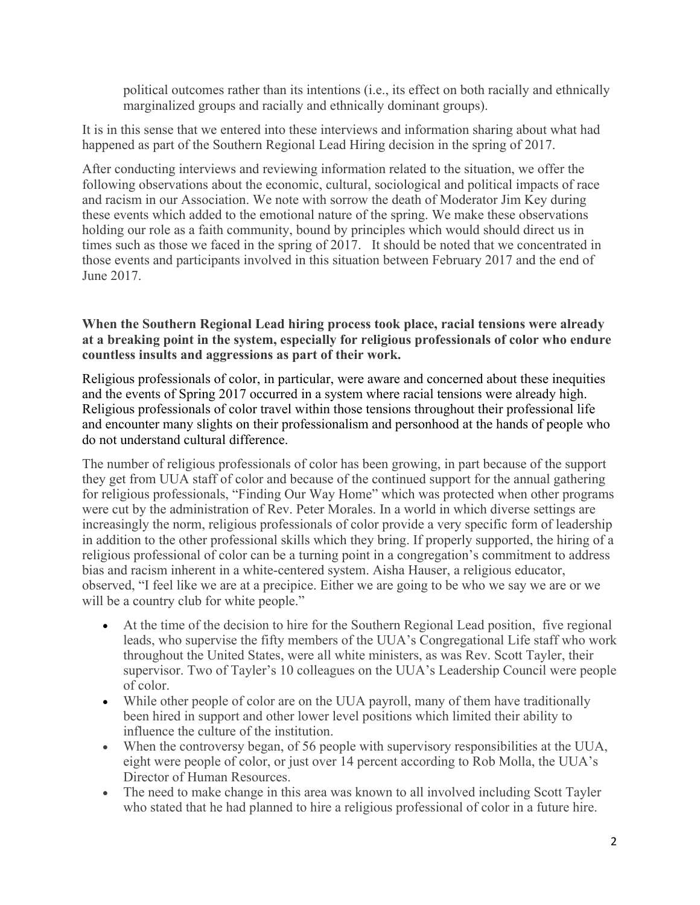political outcomes rather than its intentions (i.e., its effect on both racially and ethnically marginalized groups and racially and ethnically dominant groups).

It is in this sense that we entered into these interviews and information sharing about what had happened as part of the Southern Regional Lead Hiring decision in the spring of 2017.

After conducting interviews and reviewing information related to the situation, we offer the following observations about the economic, cultural, sociological and political impacts of race and racism in our Association. We note with sorrow the death of Moderator Jim Key during these events which added to the emotional nature of the spring. We make these observations holding our role as a faith community, bound by principles which would should direct us in times such as those we faced in the spring of 2017. It should be noted that we concentrated in those events and participants involved in this situation between February 2017 and the end of June 2017.

**When the Southern Regional Lead hiring process took place, racial tensions were already at a breaking point in the system, especially for religious professionals of color who endure countless insults and aggressions as part of their work.** 

Religious professionals of color, in particular, were aware and concerned about these inequities and the events of Spring 2017 occurred in a system where racial tensions were already high. Religious professionals of color travel within those tensions throughout their professional life and encounter many slights on their professionalism and personhood at the hands of people who do not understand cultural difference.

The number of religious professionals of color has been growing, in part because of the support they get from UUA staff of color and because of the continued support for the annual gathering for religious professionals, "Finding Our Way Home" which was protected when other programs were cut by the administration of Rev. Peter Morales. In a world in which diverse settings are increasingly the norm, religious professionals of color provide a very specific form of leadership in addition to the other professional skills which they bring. If properly supported, the hiring of a religious professional of color can be a turning point in a congregation's commitment to address bias and racism inherent in a white-centered system. Aisha Hauser, a religious educator, observed, "I feel like we are at a precipice. Either we are going to be who we say we are or we will be a country club for white people."

- At the time of the decision to hire for the Southern Regional Lead position, five regional leads, who supervise the fifty members of the UUA's Congregational Life staff who work throughout the United States, were all white ministers, as was Rev. Scott Tayler, their supervisor. Two of Tayler's 10 colleagues on the UUA's Leadership Council were people of color.
- While other people of color are on the UUA payroll, many of them have traditionally been hired in support and other lower level positions which limited their ability to influence the culture of the institution.
- When the controversy began, of 56 people with supervisory responsibilities at the UUA, eight were people of color, or just over 14 percent according to Rob Molla, the UUA's Director of Human Resources.
- The need to make change in this area was known to all involved including Scott Tayler who stated that he had planned to hire a religious professional of color in a future hire.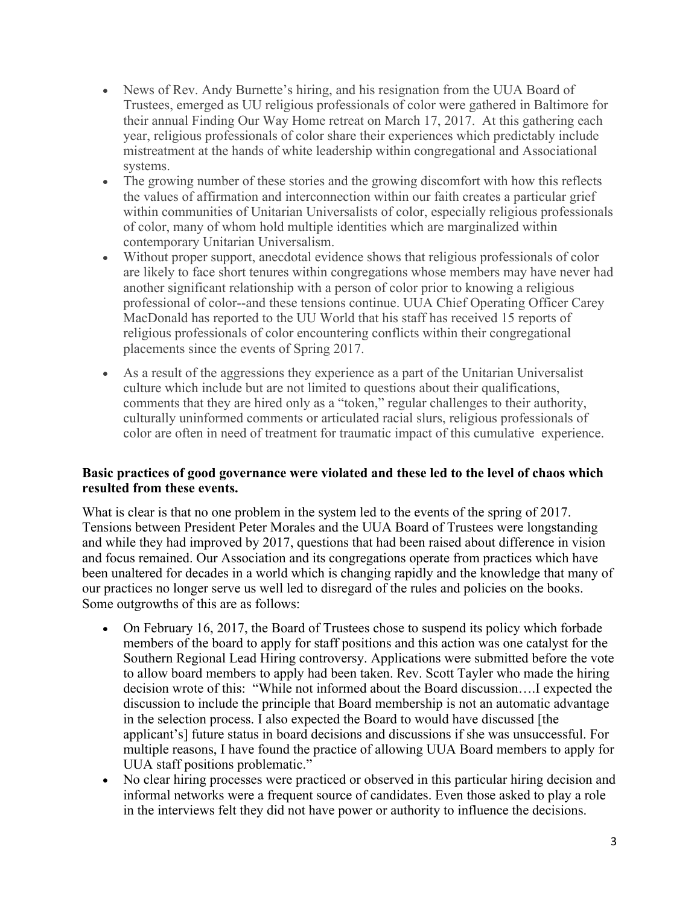- News of Rev. Andy Burnette's hiring, and his resignation from the UUA Board of Trustees, emerged as UU religious professionals of color were gathered in Baltimore for their annual Finding Our Way Home retreat on March 17, 2017. At this gathering each year, religious professionals of color share their experiences which predictably include mistreatment at the hands of white leadership within congregational and Associational systems.
- The growing number of these stories and the growing discomfort with how this reflects the values of affirmation and interconnection within our faith creates a particular grief within communities of Unitarian Universalists of color, especially religious professionals of color, many of whom hold multiple identities which are marginalized within contemporary Unitarian Universalism.
- Without proper support, anecdotal evidence shows that religious professionals of color are likely to face short tenures within congregations whose members may have never had another significant relationship with a person of color prior to knowing a religious professional of color--and these tensions continue. UUA Chief Operating Officer Carey MacDonald has reported to the UU World that his staff has received 15 reports of religious professionals of color encountering conflicts within their congregational placements since the events of Spring 2017.
- As a result of the aggressions they experience as a part of the Unitarian Universalist culture which include but are not limited to questions about their qualifications, comments that they are hired only as a "token," regular challenges to their authority, culturally uninformed comments or articulated racial slurs, religious professionals of color are often in need of treatment for traumatic impact of this cumulative experience.

## **Basic practices of good governance were violated and these led to the level of chaos which resulted from these events.**

What is clear is that no one problem in the system led to the events of the spring of 2017. Tensions between President Peter Morales and the UUA Board of Trustees were longstanding and while they had improved by 2017, questions that had been raised about difference in vision and focus remained. Our Association and its congregations operate from practices which have been unaltered for decades in a world which is changing rapidly and the knowledge that many of our practices no longer serve us well led to disregard of the rules and policies on the books. Some outgrowths of this are as follows:

- On February 16, 2017, the Board of Trustees chose to suspend its policy which forbade members of the board to apply for staff positions and this action was one catalyst for the Southern Regional Lead Hiring controversy. Applications were submitted before the vote to allow board members to apply had been taken. Rev. Scott Tayler who made the hiring decision wrote of this: "While not informed about the Board discussion….I expected the discussion to include the principle that Board membership is not an automatic advantage in the selection process. I also expected the Board to would have discussed [the applicant's] future status in board decisions and discussions if she was unsuccessful. For multiple reasons, I have found the practice of allowing UUA Board members to apply for UUA staff positions problematic."
- No clear hiring processes were practiced or observed in this particular hiring decision and informal networks were a frequent source of candidates. Even those asked to play a role in the interviews felt they did not have power or authority to influence the decisions.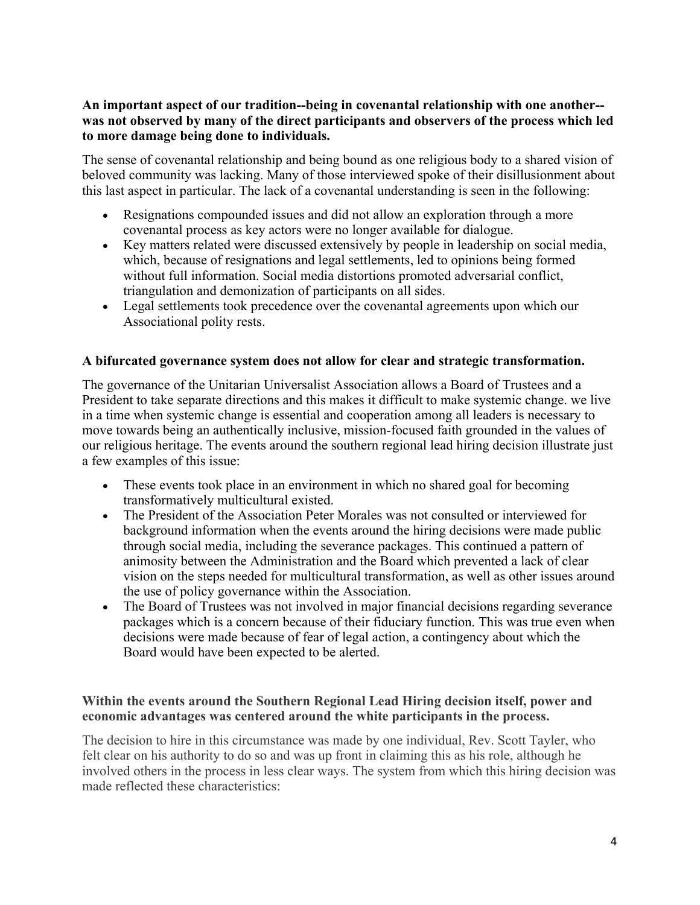# **An important aspect of our tradition--being in covenantal relationship with one another- was not observed by many of the direct participants and observers of the process which led to more damage being done to individuals.**

The sense of covenantal relationship and being bound as one religious body to a shared vision of beloved community was lacking. Many of those interviewed spoke of their disillusionment about this last aspect in particular. The lack of a covenantal understanding is seen in the following:

- Resignations compounded issues and did not allow an exploration through a more covenantal process as key actors were no longer available for dialogue.
- Key matters related were discussed extensively by people in leadership on social media, which, because of resignations and legal settlements, led to opinions being formed without full information. Social media distortions promoted adversarial conflict, triangulation and demonization of participants on all sides.
- Legal settlements took precedence over the covenantal agreements upon which our Associational polity rests.

## **A bifurcated governance system does not allow for clear and strategic transformation.**

The governance of the Unitarian Universalist Association allows a Board of Trustees and a President to take separate directions and this makes it difficult to make systemic change. we live in a time when systemic change is essential and cooperation among all leaders is necessary to move towards being an authentically inclusive, mission-focused faith grounded in the values of our religious heritage. The events around the southern regional lead hiring decision illustrate just a few examples of this issue:

- These events took place in an environment in which no shared goal for becoming transformatively multicultural existed.
- The President of the Association Peter Morales was not consulted or interviewed for background information when the events around the hiring decisions were made public through social media, including the severance packages. This continued a pattern of animosity between the Administration and the Board which prevented a lack of clear vision on the steps needed for multicultural transformation, as well as other issues around the use of policy governance within the Association.
- The Board of Trustees was not involved in major financial decisions regarding severance packages which is a concern because of their fiduciary function. This was true even when decisions were made because of fear of legal action, a contingency about which the Board would have been expected to be alerted.

## **Within the events around the Southern Regional Lead Hiring decision itself, power and economic advantages was centered around the white participants in the process.**

The decision to hire in this circumstance was made by one individual, Rev. Scott Tayler, who felt clear on his authority to do so and was up front in claiming this as his role, although he involved others in the process in less clear ways. The system from which this hiring decision was made reflected these characteristics: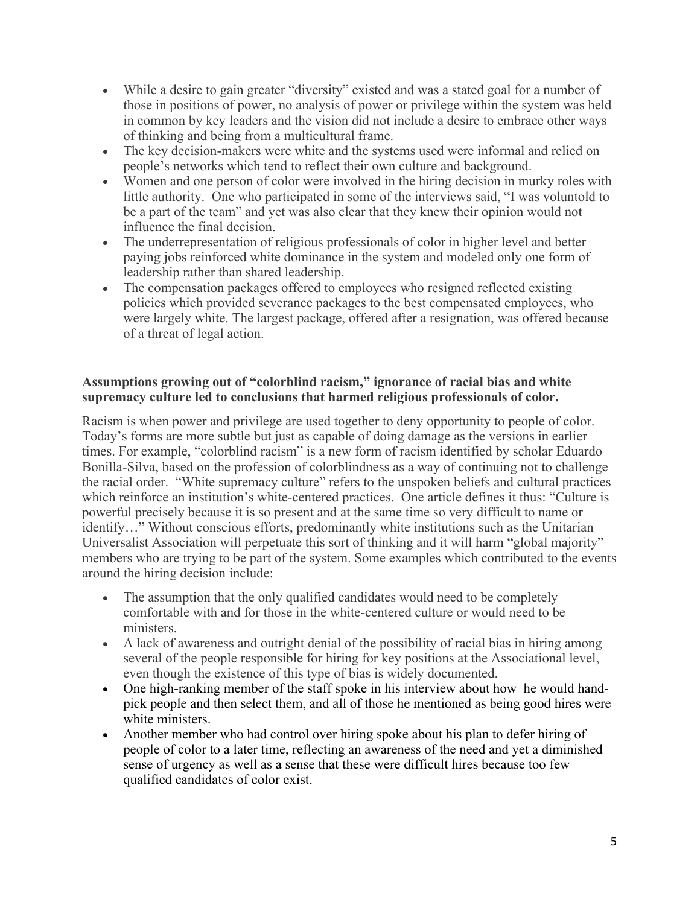- While a desire to gain greater "diversity" existed and was a stated goal for a number of those in positions of power, no analysis of power or privilege within the system was held in common by key leaders and the vision did not include a desire to embrace other ways of thinking and being from a multicultural frame.
- The key decision-makers were white and the systems used were informal and relied on people's networks which tend to reflect their own culture and background.
- Women and one person of color were involved in the hiring decision in murky roles with little authority. One who participated in some of the interviews said, "I was voluntold to be a part of the team" and yet was also clear that they knew their opinion would not influence the final decision.
- The underrepresentation of religious professionals of color in higher level and better paying jobs reinforced white dominance in the system and modeled only one form of leadership rather than shared leadership.
- The compensation packages offered to employees who resigned reflected existing policies which provided severance packages to the best compensated employees, who were largely white. The largest package, offered after a resignation, was offered because of a threat of legal action.

# **Assumptions growing out of "colorblind racism," ignorance of racial bias and white supremacy culture led to conclusions that harmed religious professionals of color.**

Racism is when power and privilege are used together to deny opportunity to people of color. Today's forms are more subtle but just as capable of doing damage as the versions in earlier times. For example, "colorblind racism" is a new form of racism identified by scholar Eduardo Bonilla-Silva, based on the profession of colorblindness as a way of continuing not to challenge the racial order. "White supremacy culture" refers to the unspoken beliefs and cultural practices which reinforce an institution's white-centered practices. One article defines it thus: "Culture is powerful precisely because it is so present and at the same time so very difficult to name or identify…" Without conscious efforts, predominantly white institutions such as the Unitarian Universalist Association will perpetuate this sort of thinking and it will harm "global majority" members who are trying to be part of the system. Some examples which contributed to the events around the hiring decision include:

- The assumption that the only qualified candidates would need to be completely comfortable with and for those in the white-centered culture or would need to be ministers.
- A lack of awareness and outright denial of the possibility of racial bias in hiring among several of the people responsible for hiring for key positions at the Associational level, even though the existence of this type of bias is widely documented.
- One high-ranking member of the staff spoke in his interview about how he would handpick people and then select them, and all of those he mentioned as being good hires were white ministers.
- Another member who had control over hiring spoke about his plan to defer hiring of people of color to a later time, reflecting an awareness of the need and yet a diminished sense of urgency as well as a sense that these were difficult hires because too few qualified candidates of color exist.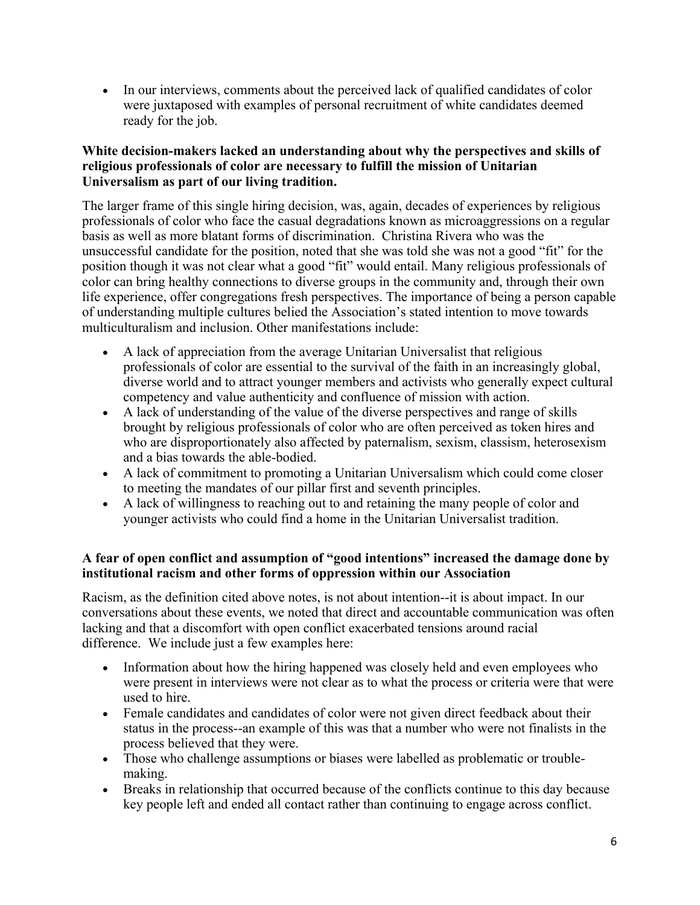• In our interviews, comments about the perceived lack of qualified candidates of color were juxtaposed with examples of personal recruitment of white candidates deemed ready for the job.

# **White decision-makers lacked an understanding about why the perspectives and skills of religious professionals of color are necessary to fulfill the mission of Unitarian Universalism as part of our living tradition.**

The larger frame of this single hiring decision, was, again, decades of experiences by religious professionals of color who face the casual degradations known as microaggressions on a regular basis as well as more blatant forms of discrimination. Christina Rivera who was the unsuccessful candidate for the position, noted that she was told she was not a good "fit" for the position though it was not clear what a good "fit" would entail. Many religious professionals of color can bring healthy connections to diverse groups in the community and, through their own life experience, offer congregations fresh perspectives. The importance of being a person capable of understanding multiple cultures belied the Association's stated intention to move towards multiculturalism and inclusion. Other manifestations include:

- A lack of appreciation from the average Unitarian Universalist that religious professionals of color are essential to the survival of the faith in an increasingly global, diverse world and to attract younger members and activists who generally expect cultural competency and value authenticity and confluence of mission with action.
- A lack of understanding of the value of the diverse perspectives and range of skills brought by religious professionals of color who are often perceived as token hires and who are disproportionately also affected by paternalism, sexism, classism, heterosexism and a bias towards the able-bodied.
- A lack of commitment to promoting a Unitarian Universalism which could come closer to meeting the mandates of our pillar first and seventh principles.
- A lack of willingness to reaching out to and retaining the many people of color and younger activists who could find a home in the Unitarian Universalist tradition.

# **A fear of open conflict and assumption of "good intentions" increased the damage done by institutional racism and other forms of oppression within our Association**

Racism, as the definition cited above notes, is not about intention--it is about impact. In our conversations about these events, we noted that direct and accountable communication was often lacking and that a discomfort with open conflict exacerbated tensions around racial difference. We include just a few examples here:

- Information about how the hiring happened was closely held and even employees who were present in interviews were not clear as to what the process or criteria were that were used to hire.
- Female candidates and candidates of color were not given direct feedback about their status in the process--an example of this was that a number who were not finalists in the process believed that they were.
- Those who challenge assumptions or biases were labelled as problematic or troublemaking.
- Breaks in relationship that occurred because of the conflicts continue to this day because key people left and ended all contact rather than continuing to engage across conflict.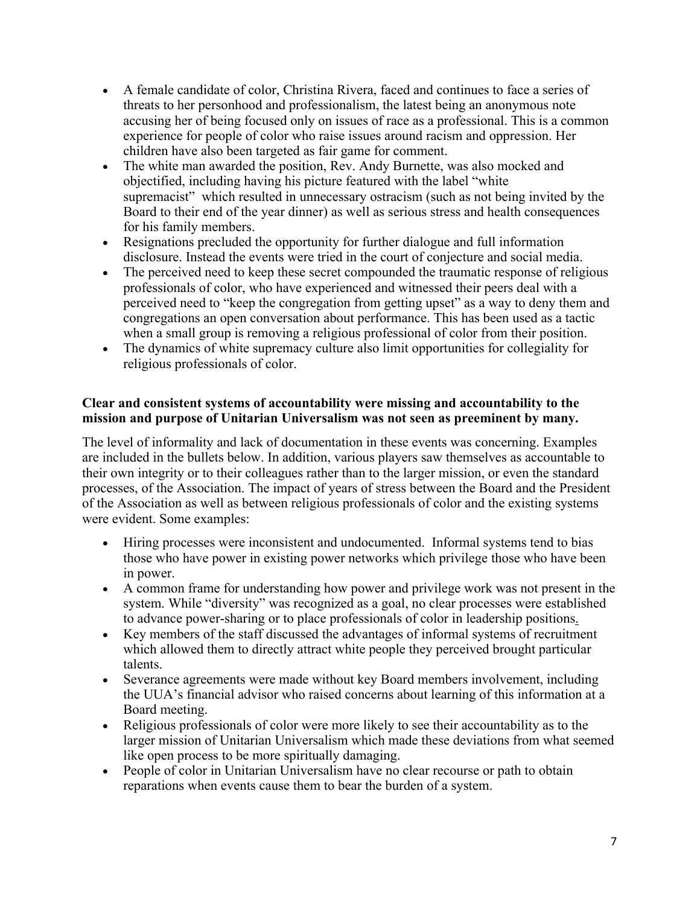- A female candidate of color, Christina Rivera, faced and continues to face a series of threats to her personhood and professionalism, the latest being an anonymous note accusing her of being focused only on issues of race as a professional. This is a common experience for people of color who raise issues around racism and oppression. Her children have also been targeted as fair game for comment.
- The white man awarded the position, Rev. Andy Burnette, was also mocked and objectified, including having his picture featured with the label "white supremacist" which resulted in unnecessary ostracism (such as not being invited by the Board to their end of the year dinner) as well as serious stress and health consequences for his family members.
- Resignations precluded the opportunity for further dialogue and full information disclosure. Instead the events were tried in the court of conjecture and social media.
- The perceived need to keep these secret compounded the traumatic response of religious professionals of color, who have experienced and witnessed their peers deal with a perceived need to "keep the congregation from getting upset" as a way to deny them and congregations an open conversation about performance. This has been used as a tactic when a small group is removing a religious professional of color from their position.
- The dynamics of white supremacy culture also limit opportunities for collegiality for religious professionals of color.

## **Clear and consistent systems of accountability were missing and accountability to the mission and purpose of Unitarian Universalism was not seen as preeminent by many.**

The level of informality and lack of documentation in these events was concerning. Examples are included in the bullets below. In addition, various players saw themselves as accountable to their own integrity or to their colleagues rather than to the larger mission, or even the standard processes, of the Association. The impact of years of stress between the Board and the President of the Association as well as between religious professionals of color and the existing systems were evident. Some examples:

- Hiring processes were inconsistent and undocumented. Informal systems tend to bias those who have power in existing power networks which privilege those who have been in power.
- A common frame for understanding how power and privilege work was not present in the system. While "diversity" was recognized as a goal, no clear processes were established to advance power-sharing or to place professionals of color in leadership positions.
- Key members of the staff discussed the advantages of informal systems of recruitment which allowed them to directly attract white people they perceived brought particular talents.
- Severance agreements were made without key Board members involvement, including the UUA's financial advisor who raised concerns about learning of this information at a Board meeting.
- Religious professionals of color were more likely to see their accountability as to the larger mission of Unitarian Universalism which made these deviations from what seemed like open process to be more spiritually damaging.
- People of color in Unitarian Universalism have no clear recourse or path to obtain reparations when events cause them to bear the burden of a system.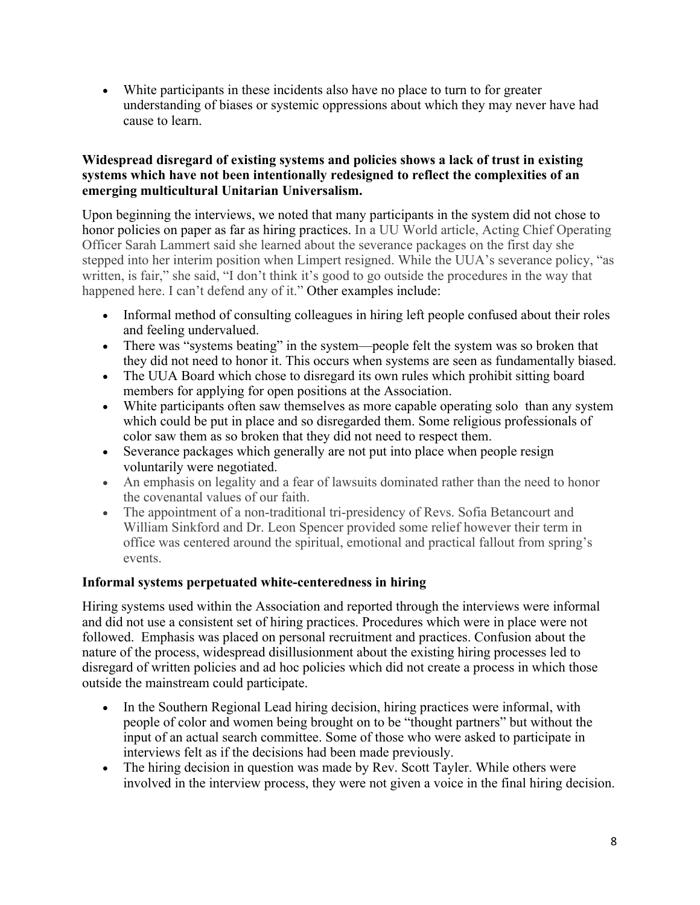• White participants in these incidents also have no place to turn to for greater understanding of biases or systemic oppressions about which they may never have had cause to learn.

# **Widespread disregard of existing systems and policies shows a lack of trust in existing systems which have not been intentionally redesigned to reflect the complexities of an emerging multicultural Unitarian Universalism.**

Upon beginning the interviews, we noted that many participants in the system did not chose to honor policies on paper as far as hiring practices. In a UU World article, Acting Chief Operating Officer Sarah Lammert said she learned about the severance packages on the first day she stepped into her interim position when Limpert resigned. While the UUA's severance policy, "as written, is fair," she said, "I don't think it's good to go outside the procedures in the way that happened here. I can't defend any of it." Other examples include:

- Informal method of consulting colleagues in hiring left people confused about their roles and feeling undervalued.
- There was "systems beating" in the system—people felt the system was so broken that they did not need to honor it. This occurs when systems are seen as fundamentally biased.
- The UUA Board which chose to disregard its own rules which prohibit sitting board members for applying for open positions at the Association.
- White participants often saw themselves as more capable operating solo than any system which could be put in place and so disregarded them. Some religious professionals of color saw them as so broken that they did not need to respect them.
- Severance packages which generally are not put into place when people resign voluntarily were negotiated.
- An emphasis on legality and a fear of lawsuits dominated rather than the need to honor the covenantal values of our faith.
- The appointment of a non-traditional tri-presidency of Revs. Sofia Betancourt and William Sinkford and Dr. Leon Spencer provided some relief however their term in office was centered around the spiritual, emotional and practical fallout from spring's events.

# **Informal systems perpetuated white-centeredness in hiring**

Hiring systems used within the Association and reported through the interviews were informal and did not use a consistent set of hiring practices. Procedures which were in place were not followed. Emphasis was placed on personal recruitment and practices. Confusion about the nature of the process, widespread disillusionment about the existing hiring processes led to disregard of written policies and ad hoc policies which did not create a process in which those outside the mainstream could participate.

- In the Southern Regional Lead hiring decision, hiring practices were informal, with people of color and women being brought on to be "thought partners" but without the input of an actual search committee. Some of those who were asked to participate in interviews felt as if the decisions had been made previously.
- The hiring decision in question was made by Rev. Scott Tayler. While others were involved in the interview process, they were not given a voice in the final hiring decision.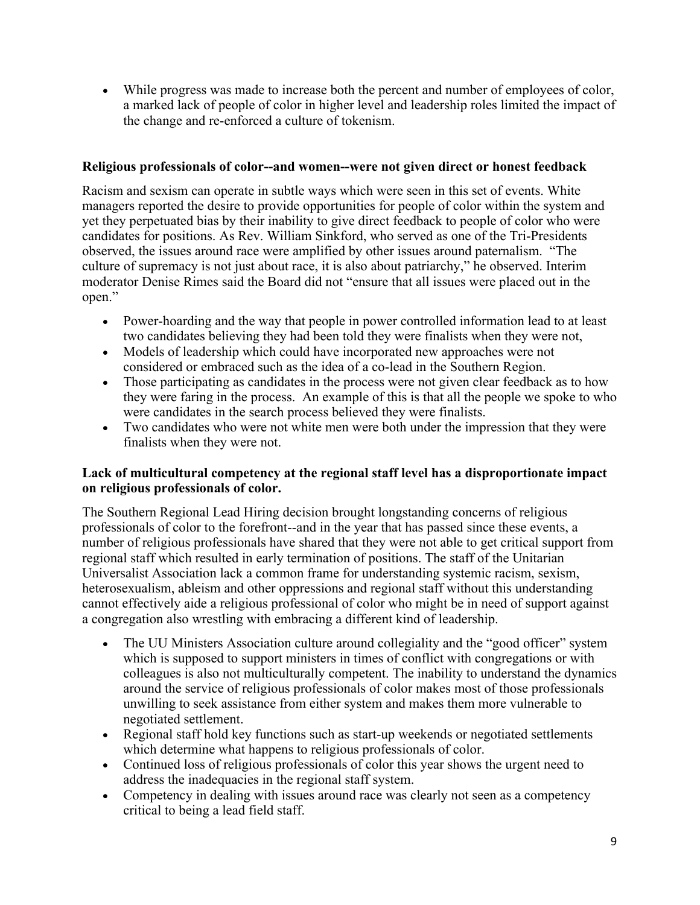• While progress was made to increase both the percent and number of employees of color, a marked lack of people of color in higher level and leadership roles limited the impact of the change and re-enforced a culture of tokenism.

# **Religious professionals of color--and women--were not given direct or honest feedback**

Racism and sexism can operate in subtle ways which were seen in this set of events. White managers reported the desire to provide opportunities for people of color within the system and yet they perpetuated bias by their inability to give direct feedback to people of color who were candidates for positions. As Rev. William Sinkford, who served as one of the Tri-Presidents observed, the issues around race were amplified by other issues around paternalism. "The culture of supremacy is not just about race, it is also about patriarchy," he observed. Interim moderator Denise Rimes said the Board did not "ensure that all issues were placed out in the open."

- Power-hoarding and the way that people in power controlled information lead to at least two candidates believing they had been told they were finalists when they were not,
- Models of leadership which could have incorporated new approaches were not considered or embraced such as the idea of a co-lead in the Southern Region.
- Those participating as candidates in the process were not given clear feedback as to how they were faring in the process. An example of this is that all the people we spoke to who were candidates in the search process believed they were finalists.
- Two candidates who were not white men were both under the impression that they were finalists when they were not.

## **Lack of multicultural competency at the regional staff level has a disproportionate impact on religious professionals of color.**

The Southern Regional Lead Hiring decision brought longstanding concerns of religious professionals of color to the forefront--and in the year that has passed since these events, a number of religious professionals have shared that they were not able to get critical support from regional staff which resulted in early termination of positions. The staff of the Unitarian Universalist Association lack a common frame for understanding systemic racism, sexism, heterosexualism, ableism and other oppressions and regional staff without this understanding cannot effectively aide a religious professional of color who might be in need of support against a congregation also wrestling with embracing a different kind of leadership.

- The UU Ministers Association culture around collegiality and the "good officer" system which is supposed to support ministers in times of conflict with congregations or with colleagues is also not multiculturally competent. The inability to understand the dynamics around the service of religious professionals of color makes most of those professionals unwilling to seek assistance from either system and makes them more vulnerable to negotiated settlement.
- Regional staff hold key functions such as start-up weekends or negotiated settlements which determine what happens to religious professionals of color.
- Continued loss of religious professionals of color this year shows the urgent need to address the inadequacies in the regional staff system.
- Competency in dealing with issues around race was clearly not seen as a competency critical to being a lead field staff.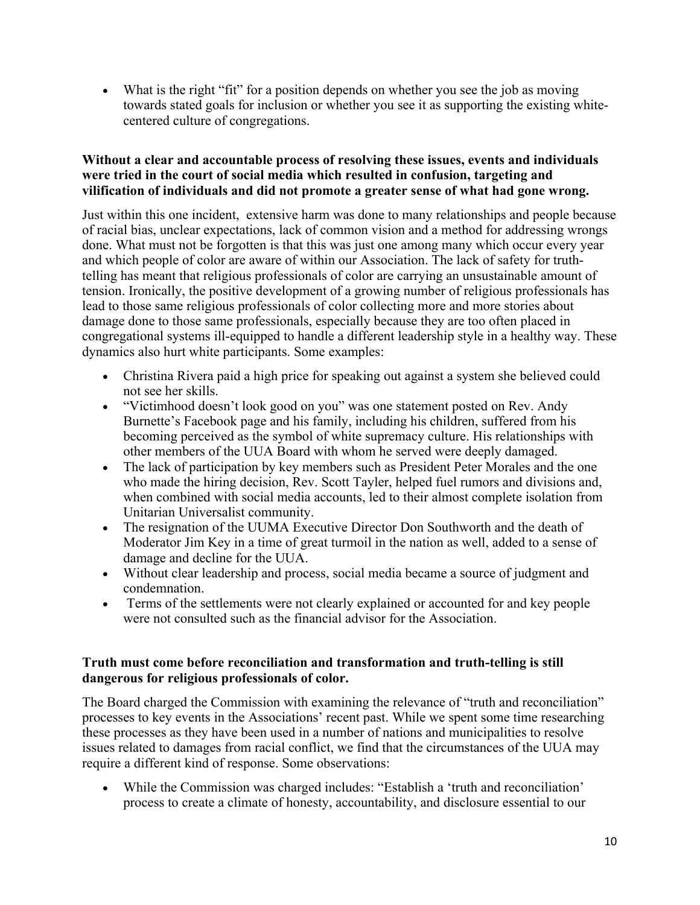• What is the right "fit" for a position depends on whether you see the job as moving towards stated goals for inclusion or whether you see it as supporting the existing whitecentered culture of congregations.

# **Without a clear and accountable process of resolving these issues, events and individuals were tried in the court of social media which resulted in confusion, targeting and vilification of individuals and did not promote a greater sense of what had gone wrong.**

Just within this one incident, extensive harm was done to many relationships and people because of racial bias, unclear expectations, lack of common vision and a method for addressing wrongs done. What must not be forgotten is that this was just one among many which occur every year and which people of color are aware of within our Association. The lack of safety for truthtelling has meant that religious professionals of color are carrying an unsustainable amount of tension. Ironically, the positive development of a growing number of religious professionals has lead to those same religious professionals of color collecting more and more stories about damage done to those same professionals, especially because they are too often placed in congregational systems ill-equipped to handle a different leadership style in a healthy way. These dynamics also hurt white participants. Some examples:

- Christina Rivera paid a high price for speaking out against a system she believed could not see her skills.
- "Victimhood doesn't look good on you" was one statement posted on Rev. Andy Burnette's Facebook page and his family, including his children, suffered from his becoming perceived as the symbol of white supremacy culture. His relationships with other members of the UUA Board with whom he served were deeply damaged.
- The lack of participation by key members such as President Peter Morales and the one who made the hiring decision, Rev. Scott Tayler, helped fuel rumors and divisions and, when combined with social media accounts, led to their almost complete isolation from Unitarian Universalist community.
- The resignation of the UUMA Executive Director Don Southworth and the death of Moderator Jim Key in a time of great turmoil in the nation as well, added to a sense of damage and decline for the UUA.
- Without clear leadership and process, social media became a source of judgment and condemnation.
- Terms of the settlements were not clearly explained or accounted for and key people were not consulted such as the financial advisor for the Association.

## **Truth must come before reconciliation and transformation and truth-telling is still dangerous for religious professionals of color.**

The Board charged the Commission with examining the relevance of "truth and reconciliation" processes to key events in the Associations' recent past. While we spent some time researching these processes as they have been used in a number of nations and municipalities to resolve issues related to damages from racial conflict, we find that the circumstances of the UUA may require a different kind of response. Some observations:

• While the Commission was charged includes: "Establish a 'truth and reconciliation' process to create a climate of honesty, accountability, and disclosure essential to our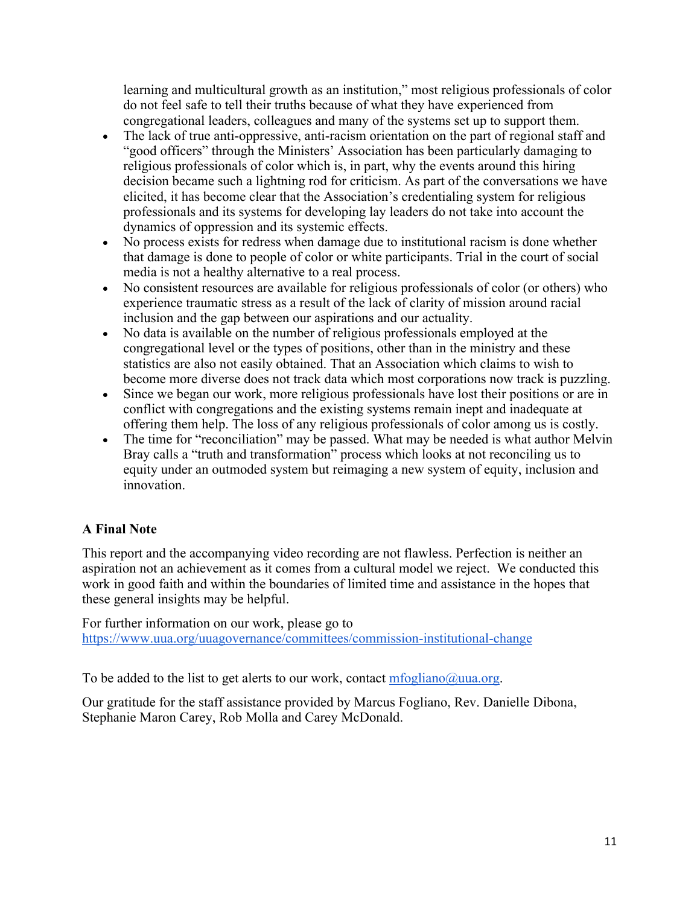learning and multicultural growth as an institution," most religious professionals of color do not feel safe to tell their truths because of what they have experienced from congregational leaders, colleagues and many of the systems set up to support them.

- The lack of true anti-oppressive, anti-racism orientation on the part of regional staff and "good officers" through the Ministers' Association has been particularly damaging to religious professionals of color which is, in part, why the events around this hiring decision became such a lightning rod for criticism. As part of the conversations we have elicited, it has become clear that the Association's credentialing system for religious professionals and its systems for developing lay leaders do not take into account the dynamics of oppression and its systemic effects.
- No process exists for redress when damage due to institutional racism is done whether that damage is done to people of color or white participants. Trial in the court of social media is not a healthy alternative to a real process.
- No consistent resources are available for religious professionals of color (or others) who experience traumatic stress as a result of the lack of clarity of mission around racial inclusion and the gap between our aspirations and our actuality.
- No data is available on the number of religious professionals employed at the congregational level or the types of positions, other than in the ministry and these statistics are also not easily obtained. That an Association which claims to wish to become more diverse does not track data which most corporations now track is puzzling.
- Since we began our work, more religious professionals have lost their positions or are in conflict with congregations and the existing systems remain inept and inadequate at offering them help. The loss of any religious professionals of color among us is costly.
- The time for "reconciliation" may be passed. What may be needed is what author Melvin Bray calls a "truth and transformation" process which looks at not reconciling us to equity under an outmoded system but reimaging a new system of equity, inclusion and innovation.

# **A Final Note**

This report and the accompanying video recording are not flawless. Perfection is neither an aspiration not an achievement as it comes from a cultural model we reject. We conducted this work in good faith and within the boundaries of limited time and assistance in the hopes that these general insights may be helpful.

For further information on our work, please go to https://www.uua.org/uuagovernance/committees/commission-institutional-change

To be added to the list to get alerts to our work, contact  $m\overline{log}$ liano $\overline{Quua.org}$ .

Our gratitude for the staff assistance provided by Marcus Fogliano, Rev. Danielle Dibona, Stephanie Maron Carey, Rob Molla and Carey McDonald.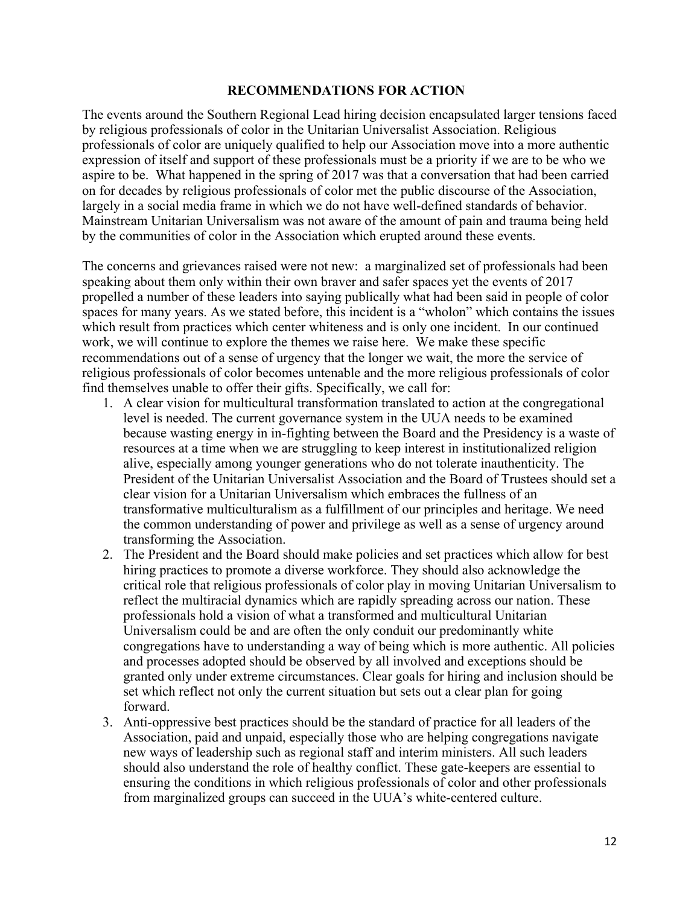#### **RECOMMENDATIONS FOR ACTION**

The events around the Southern Regional Lead hiring decision encapsulated larger tensions faced by religious professionals of color in the Unitarian Universalist Association. Religious professionals of color are uniquely qualified to help our Association move into a more authentic expression of itself and support of these professionals must be a priority if we are to be who we aspire to be. What happened in the spring of 2017 was that a conversation that had been carried on for decades by religious professionals of color met the public discourse of the Association, largely in a social media frame in which we do not have well-defined standards of behavior. Mainstream Unitarian Universalism was not aware of the amount of pain and trauma being held by the communities of color in the Association which erupted around these events.

The concerns and grievances raised were not new: a marginalized set of professionals had been speaking about them only within their own braver and safer spaces yet the events of 2017 propelled a number of these leaders into saying publically what had been said in people of color spaces for many years. As we stated before, this incident is a "wholon" which contains the issues which result from practices which center whiteness and is only one incident. In our continued work, we will continue to explore the themes we raise here. We make these specific recommendations out of a sense of urgency that the longer we wait, the more the service of religious professionals of color becomes untenable and the more religious professionals of color find themselves unable to offer their gifts. Specifically, we call for:

- 1. A clear vision for multicultural transformation translated to action at the congregational level is needed. The current governance system in the UUA needs to be examined because wasting energy in in-fighting between the Board and the Presidency is a waste of resources at a time when we are struggling to keep interest in institutionalized religion alive, especially among younger generations who do not tolerate inauthenticity. The President of the Unitarian Universalist Association and the Board of Trustees should set a clear vision for a Unitarian Universalism which embraces the fullness of an transformative multiculturalism as a fulfillment of our principles and heritage. We need the common understanding of power and privilege as well as a sense of urgency around transforming the Association.
- 2. The President and the Board should make policies and set practices which allow for best hiring practices to promote a diverse workforce. They should also acknowledge the critical role that religious professionals of color play in moving Unitarian Universalism to reflect the multiracial dynamics which are rapidly spreading across our nation. These professionals hold a vision of what a transformed and multicultural Unitarian Universalism could be and are often the only conduit our predominantly white congregations have to understanding a way of being which is more authentic. All policies and processes adopted should be observed by all involved and exceptions should be granted only under extreme circumstances. Clear goals for hiring and inclusion should be set which reflect not only the current situation but sets out a clear plan for going forward.
- 3. Anti-oppressive best practices should be the standard of practice for all leaders of the Association, paid and unpaid, especially those who are helping congregations navigate new ways of leadership such as regional staff and interim ministers. All such leaders should also understand the role of healthy conflict. These gate-keepers are essential to ensuring the conditions in which religious professionals of color and other professionals from marginalized groups can succeed in the UUA's white-centered culture.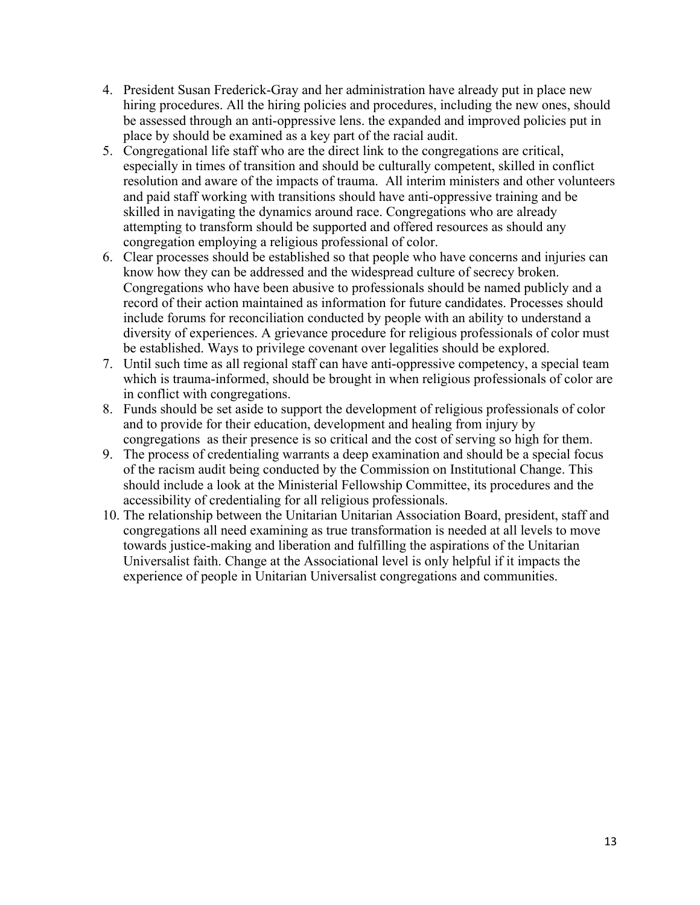- 4. President Susan Frederick-Gray and her administration have already put in place new hiring procedures. All the hiring policies and procedures, including the new ones, should be assessed through an anti-oppressive lens. the expanded and improved policies put in place by should be examined as a key part of the racial audit.
- 5. Congregational life staff who are the direct link to the congregations are critical, especially in times of transition and should be culturally competent, skilled in conflict resolution and aware of the impacts of trauma. All interim ministers and other volunteers and paid staff working with transitions should have anti-oppressive training and be skilled in navigating the dynamics around race. Congregations who are already attempting to transform should be supported and offered resources as should any congregation employing a religious professional of color.
- 6. Clear processes should be established so that people who have concerns and injuries can know how they can be addressed and the widespread culture of secrecy broken. Congregations who have been abusive to professionals should be named publicly and a record of their action maintained as information for future candidates. Processes should include forums for reconciliation conducted by people with an ability to understand a diversity of experiences. A grievance procedure for religious professionals of color must be established. Ways to privilege covenant over legalities should be explored.
- 7. Until such time as all regional staff can have anti-oppressive competency, a special team which is trauma-informed, should be brought in when religious professionals of color are in conflict with congregations.
- 8. Funds should be set aside to support the development of religious professionals of color and to provide for their education, development and healing from injury by congregations as their presence is so critical and the cost of serving so high for them.
- 9. The process of credentialing warrants a deep examination and should be a special focus of the racism audit being conducted by the Commission on Institutional Change. This should include a look at the Ministerial Fellowship Committee, its procedures and the accessibility of credentialing for all religious professionals.
- 10. The relationship between the Unitarian Unitarian Association Board, president, staff and congregations all need examining as true transformation is needed at all levels to move towards justice-making and liberation and fulfilling the aspirations of the Unitarian Universalist faith. Change at the Associational level is only helpful if it impacts the experience of people in Unitarian Universalist congregations and communities.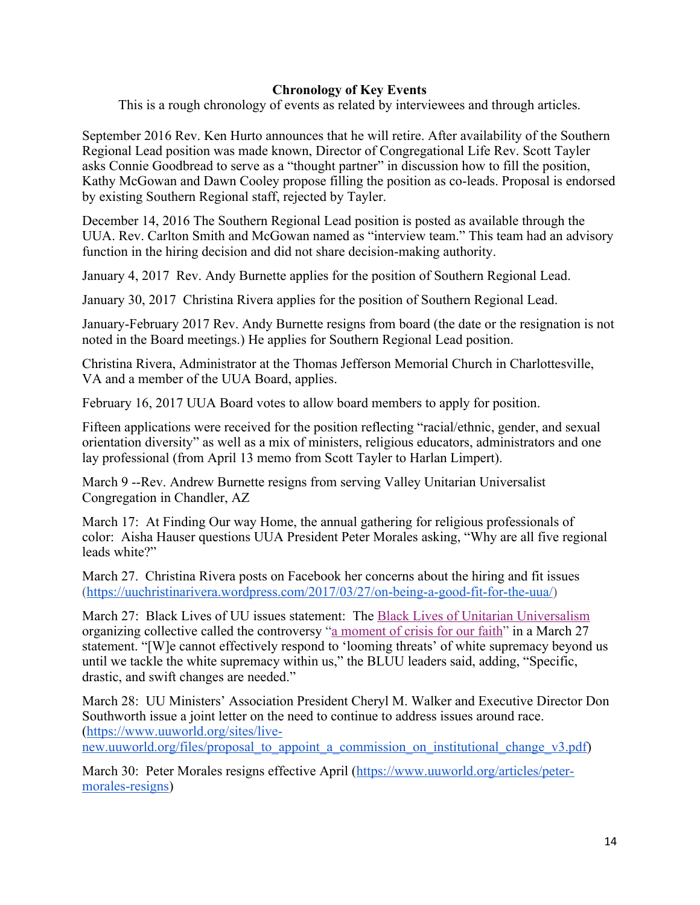# **Chronology of Key Events**

This is a rough chronology of events as related by interviewees and through articles.

September 2016 Rev. Ken Hurto announces that he will retire. After availability of the Southern Regional Lead position was made known, Director of Congregational Life Rev. Scott Tayler asks Connie Goodbread to serve as a "thought partner" in discussion how to fill the position, Kathy McGowan and Dawn Cooley propose filling the position as co-leads. Proposal is endorsed by existing Southern Regional staff, rejected by Tayler.

December 14, 2016 The Southern Regional Lead position is posted as available through the UUA. Rev. Carlton Smith and McGowan named as "interview team." This team had an advisory function in the hiring decision and did not share decision-making authority.

January 4, 2017 Rev. Andy Burnette applies for the position of Southern Regional Lead.

January 30, 2017 Christina Rivera applies for the position of Southern Regional Lead.

January-February 2017 Rev. Andy Burnette resigns from board (the date or the resignation is not noted in the Board meetings.) He applies for Southern Regional Lead position.

Christina Rivera, Administrator at the Thomas Jefferson Memorial Church in Charlottesville, VA and a member of the UUA Board, applies.

February 16, 2017 UUA Board votes to allow board members to apply for position.

Fifteen applications were received for the position reflecting "racial/ethnic, gender, and sexual orientation diversity" as well as a mix of ministers, religious educators, administrators and one lay professional (from April 13 memo from Scott Tayler to Harlan Limpert).

March 9 --Rev. Andrew Burnette resigns from serving Valley Unitarian Universalist Congregation in Chandler, AZ

March 17: At Finding Our way Home, the annual gathering for religious professionals of color: Aisha Hauser questions UUA President Peter Morales asking, "Why are all five regional leads white?"

March 27. Christina Rivera posts on Facebook her concerns about the hiring and fit issues (https://uuchristinarivera.wordpress.com/2017/03/27/on-being-a-good-fit-for-the-uua/)

March 27: Black Lives of UU issues statement: The Black Lives of Unitarian Universalism organizing collective called the controversy "a moment of crisis for our faith" in a March 27 statement. "[W]e cannot effectively respond to 'looming threats' of white supremacy beyond us until we tackle the white supremacy within us," the BLUU leaders said, adding, "Specific, drastic, and swift changes are needed."

March 28: UU Ministers' Association President Cheryl M. Walker and Executive Director Don Southworth issue a joint letter on the need to continue to address issues around race. (https://www.uuworld.org/sites/livenew.uuworld.org/files/proposal to appoint a commission on institutional change v3.pdf)

March 30: Peter Morales resigns effective April (https://www.uuworld.org/articles/petermorales-resigns)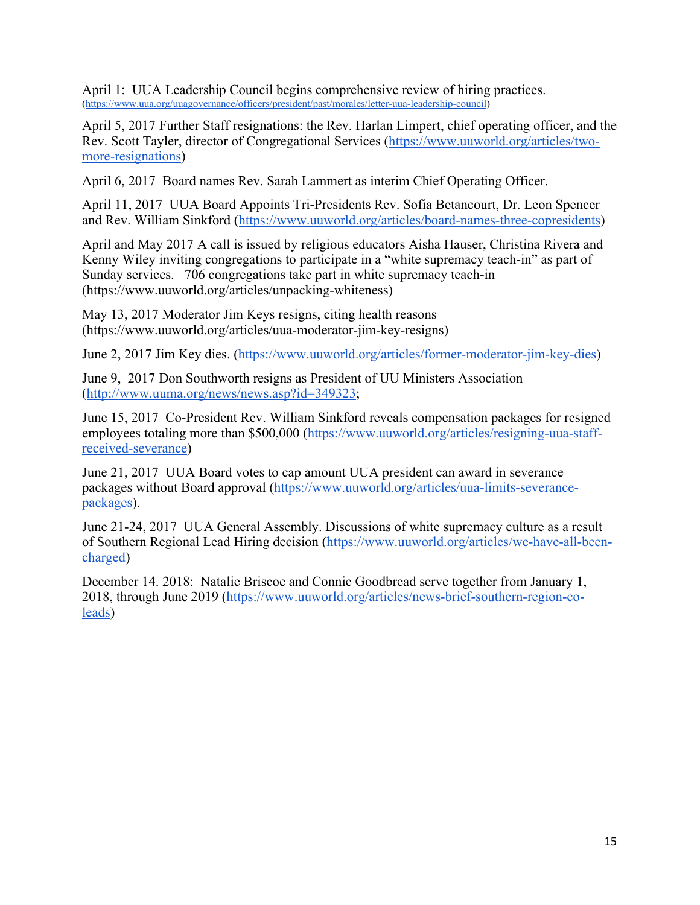April 1: UUA Leadership Council begins comprehensive review of hiring practices. (https://www.uua.org/uuagovernance/officers/president/past/morales/letter-uua-leadership-council)

April 5, 2017 Further Staff resignations: the Rev. Harlan Limpert, chief operating officer, and the Rev. Scott Tayler, director of Congregational Services (https://www.uuworld.org/articles/twomore-resignations)

April 6, 2017 Board names Rev. Sarah Lammert as interim Chief Operating Officer.

April 11, 2017 UUA Board Appoints Tri-Presidents Rev. Sofia Betancourt, Dr. Leon Spencer and Rev. William Sinkford (https://www.uuworld.org/articles/board-names-three-copresidents)

April and May 2017 A call is issued by religious educators Aisha Hauser, Christina Rivera and Kenny Wiley inviting congregations to participate in a "white supremacy teach-in" as part of Sunday services. 706 congregations take part in white supremacy teach-in (https://www.uuworld.org/articles/unpacking-whiteness)

May 13, 2017 Moderator Jim Keys resigns, citing health reasons (https://www.uuworld.org/articles/uua-moderator-jim-key-resigns)

June 2, 2017 Jim Key dies. (https://www.uuworld.org/articles/former-moderator-jim-key-dies)

June 9, 2017 Don Southworth resigns as President of UU Ministers Association (http://www.uuma.org/news/news.asp?id=349323;

June 15, 2017 Co-President Rev. William Sinkford reveals compensation packages for resigned employees totaling more than \$500,000 (https://www.uuworld.org/articles/resigning-uua-staffreceived-severance)

June 21, 2017 UUA Board votes to cap amount UUA president can award in severance packages without Board approval (https://www.uuworld.org/articles/uua-limits-severancepackages).

June 21-24, 2017 UUA General Assembly. Discussions of white supremacy culture as a result of Southern Regional Lead Hiring decision (https://www.uuworld.org/articles/we-have-all-beencharged)

December 14. 2018: Natalie Briscoe and Connie Goodbread serve together from January 1, 2018, through June 2019 (https://www.uuworld.org/articles/news-brief-southern-region-coleads)